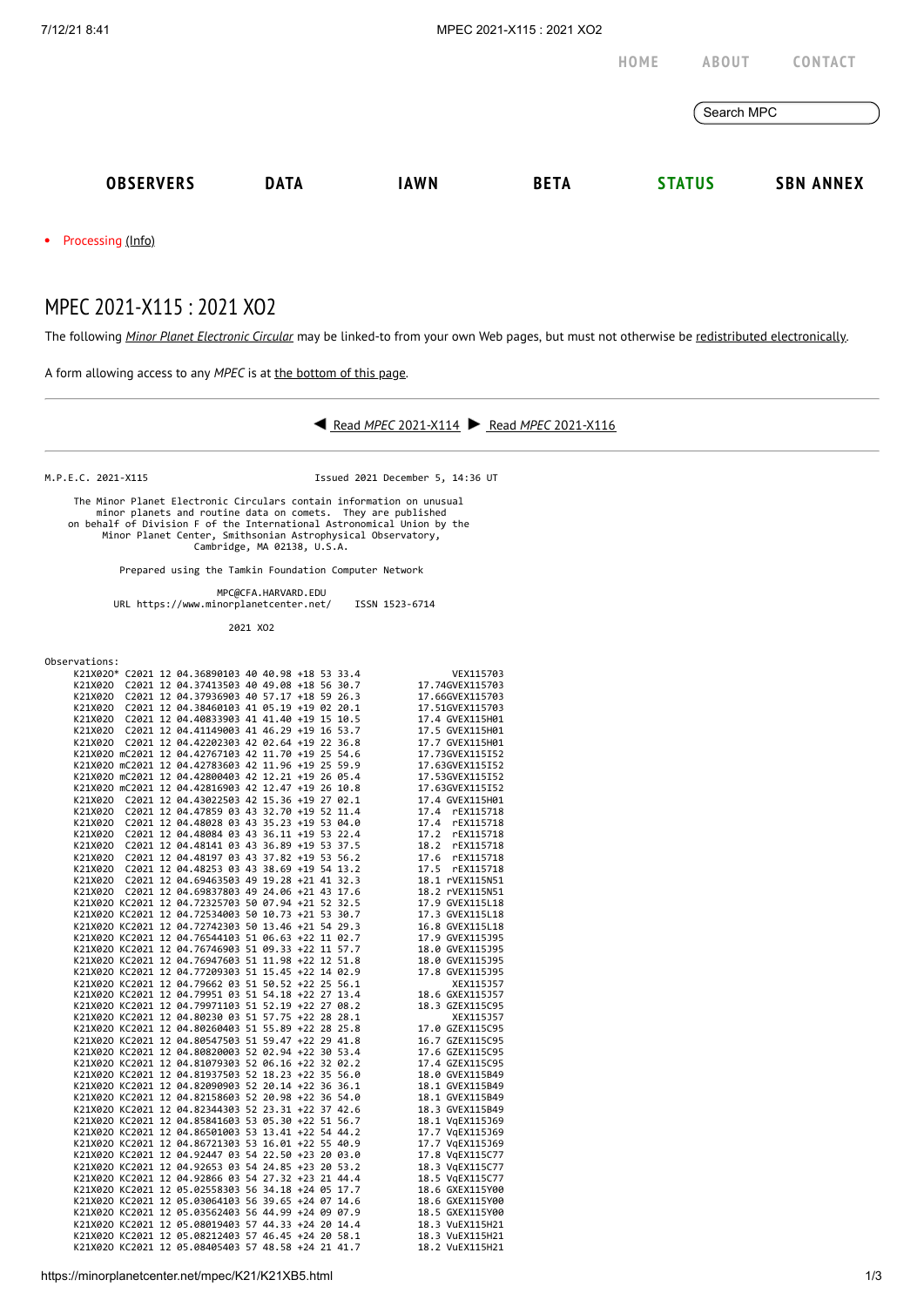|                     |             |             |             | HOME | <b>ABOUT</b>  | <b>CONTACT</b>   |
|---------------------|-------------|-------------|-------------|------|---------------|------------------|
|                     |             |             |             |      | Search MPC    |                  |
| <b>OBSERVERS</b>    | <b>DATA</b> | <b>IAWN</b> | <b>BETA</b> |      | <b>STATUS</b> | <b>SBN ANNEX</b> |
| • Processing (Info) |             |             |             |      |               |                  |

MPEC 2021-X115 : 2021 XO2

The following *Minor Planet [Electronic](https://minorplanetcenter.net/iau/services/MPEC.html) Circular* may be linked-to from your own Web pages, but must not otherwise be redistributed [electronically](https://minorplanetcenter.net/iau/WWWPolicy.html).

A form allowing access to any *MPEC* is at the [bottom](https://minorplanetcenter.net/mpec/K19/K21XB5.html#form) of this page.



M.P.E.C. 2021-X115 Issued 2021 December 5, 14:36 UT

 The Minor Planet Electronic Circulars contain information on unusual minor planets and routine data on comets. They are published<br>on behalf of Division F of the International Astronomical Union by the<br>Minor Planet Center, Smithsonian Astrophysical Observatory,<br>Cambridge, MA 02138, U.S.A.

Prepared using the Tamkin Foundation Computer Network

 MPC@CFA.HARVARD.EDU URL https://www.minorplanetcenter.net/ ISSN 1523-6714

2021 XO2

| Observations: |  |  |  |  |  |
|---------------|--|--|--|--|--|
|               |  |  |  |  |  |

| UUSEI VALIUIIS. |  |                                                                                                                                                                                                                                                                           |  |  |                                                                                                                                                                                                                                        |
|-----------------|--|---------------------------------------------------------------------------------------------------------------------------------------------------------------------------------------------------------------------------------------------------------------------------|--|--|----------------------------------------------------------------------------------------------------------------------------------------------------------------------------------------------------------------------------------------|
|                 |  | K21X020* C2021 12 04.36890103 40 40.98 +18 53 33.4                                                                                                                                                                                                                        |  |  | VEX115703                                                                                                                                                                                                                              |
|                 |  | K21X020 C2021 12 04.37413503 40 49.08 +18 56 30.7                                                                                                                                                                                                                         |  |  | 17.74GVEX115703                                                                                                                                                                                                                        |
|                 |  |                                                                                                                                                                                                                                                                           |  |  | 17.66GVEX115703                                                                                                                                                                                                                        |
|                 |  |                                                                                                                                                                                                                                                                           |  |  | 17.51GVEX115703                                                                                                                                                                                                                        |
|                 |  | K21X020 C2021 12 04.37936903 40 57.17 +18 59 26.3<br>K21X020 C2021 12 04.37936903 40 57.17 +18 59 26.3<br>K21X020 C2021 12 04.38460103 41 05.19 +19 02 20.1<br>K21X020 C2021 12 04.40833903 41 41.40 +19 15 10.5<br>K21X020 C2021 12 0                                    |  |  | 17.4 GVEX115H01                                                                                                                                                                                                                        |
|                 |  |                                                                                                                                                                                                                                                                           |  |  | 17.5 GVEX115H01                                                                                                                                                                                                                        |
|                 |  |                                                                                                                                                                                                                                                                           |  |  | 17.7 GVEX115H01                                                                                                                                                                                                                        |
|                 |  |                                                                                                                                                                                                                                                                           |  |  | 17.73GVEX115I52                                                                                                                                                                                                                        |
|                 |  | K21X020 C2021 12 04.42202303 42 02.64 +19 22 36.8<br>K21X020 mC2021 12 04.42767103 42 11.70 +19 25 54.6<br>K21X020 mC2021 12 04.42783603 42 11.96 +19 25 59.9<br>K21X020 mC2021 12 04.42800403 42 12.21 +19 26 05.4                                                       |  |  | 17.63GVEX115I52                                                                                                                                                                                                                        |
|                 |  |                                                                                                                                                                                                                                                                           |  |  | 17.53GVEX115I52                                                                                                                                                                                                                        |
|                 |  | K21X020 mC2021 12 04.42816903 42 12.47 +19 26 10.8                                                                                                                                                                                                                        |  |  | 17.63GVEX115I52                                                                                                                                                                                                                        |
|                 |  | K21X020 C2021 12 04.43022503 42 15.36 +19 27 02.1                                                                                                                                                                                                                         |  |  | 17.4 GVEX115H01                                                                                                                                                                                                                        |
|                 |  | K21X020 C2021 12 04.47859 03 43 32.70 +19 52 11.4                                                                                                                                                                                                                         |  |  | 17.4<br>rEX115718                                                                                                                                                                                                                      |
|                 |  | K21X020 C2021 12 04.48028 03 43 35.23 +19 53 04.0                                                                                                                                                                                                                         |  |  |                                                                                                                                                                                                                                        |
|                 |  | K21X020 C2021 12 04.48084 03 43 36.11 +19 53 22.4                                                                                                                                                                                                                         |  |  |                                                                                                                                                                                                                                        |
|                 |  | K21X020 C2021 12 04.48141 03 43 36.89 +19 53 37.5                                                                                                                                                                                                                         |  |  | 17.4 FEAIL9718<br>17.2 FEX115718<br>17.2 FEX115718<br>17.6 FEX115718<br>17.5 FEX115718<br>18.1 FVEX115718<br>18.1 PACK115718                                                                                                           |
|                 |  | K21X020 C2021 12 04.48197 03 43 37.82 +19 53 56.2                                                                                                                                                                                                                         |  |  |                                                                                                                                                                                                                                        |
|                 |  | K21X020 C2021 12 04.48253 03 43 38.69 +19 54 13.2                                                                                                                                                                                                                         |  |  |                                                                                                                                                                                                                                        |
|                 |  | K21X020 C2021 12 04.69463503 49 19.28 +21 41 32.3                                                                                                                                                                                                                         |  |  |                                                                                                                                                                                                                                        |
|                 |  |                                                                                                                                                                                                                                                                           |  |  | 18.2 rVEX115N51                                                                                                                                                                                                                        |
|                 |  |                                                                                                                                                                                                                                                                           |  |  | 17.9 GVEX115L18                                                                                                                                                                                                                        |
|                 |  | K21X020 C2021 12 04.69837803 49 24.06 +21 43 17.6<br>K21X020 KC2021 12 04.69837803 49 24.06 +21 43 17.6<br>K21X020 KC2021 12 04.72325703 50 07.94 +21 52 32.5<br>K21X020 KC2021 12 04.72534003 50 10.73 +21 53 30.7<br>K21X020 KC2021 12 04.72534003 50 10.73 +21 53 30.7 |  |  | 17.3 GVEX115L18                                                                                                                                                                                                                        |
|                 |  | K21X020 KC2021 12 04.72742303 50 13.46 +21 54 29.3                                                                                                                                                                                                                        |  |  | 16.8 GVEX115L18                                                                                                                                                                                                                        |
|                 |  |                                                                                                                                                                                                                                                                           |  |  |                                                                                                                                                                                                                                        |
|                 |  |                                                                                                                                                                                                                                                                           |  |  | X21X020 KC2021 12 04.76544103 51 06.63 +22 11 02.7<br>X21X020 KC2021 12 04.76544103 51 09.33 +22 11 57.7<br>X21X020 KC2021 12 04.769476093 51 19.93 +22 12 51.8<br>X21X020 KC2021 12 04.76947609 51 11.98 +22 14 02.9<br>X21X020 KC202 |
|                 |  |                                                                                                                                                                                                                                                                           |  |  |                                                                                                                                                                                                                                        |
|                 |  |                                                                                                                                                                                                                                                                           |  |  |                                                                                                                                                                                                                                        |
|                 |  |                                                                                                                                                                                                                                                                           |  |  |                                                                                                                                                                                                                                        |
|                 |  |                                                                                                                                                                                                                                                                           |  |  |                                                                                                                                                                                                                                        |
|                 |  |                                                                                                                                                                                                                                                                           |  |  |                                                                                                                                                                                                                                        |
|                 |  | K21X020 KC2021 12 04.80230 03 51 57.75 +22 28 28.1                                                                                                                                                                                                                        |  |  | XEX115J57                                                                                                                                                                                                                              |
|                 |  | K21X020 KC2021 12 04.80260403 51 55.89 +22 28 25.8                                                                                                                                                                                                                        |  |  | 17.0 GZEX115C95                                                                                                                                                                                                                        |
|                 |  |                                                                                                                                                                                                                                                                           |  |  | 16.7 GZEX115C95                                                                                                                                                                                                                        |
|                 |  | 21X020 KC2021 12 04.00200403 31 33:00 12 29 41.8<br>21X020 KC2021 12 04.80547503 51 09.47 +22 29 53.4<br>21X020 KC2021 12 04.80820003 52 02.94 +22 30 53.4<br>22X020 KC2021 12 04.01970303 52 06 16 +22 32 02.2                                                           |  |  | 17.6 GZEX115C95                                                                                                                                                                                                                        |
|                 |  |                                                                                                                                                                                                                                                                           |  |  | 17.4 GZEX115C95                                                                                                                                                                                                                        |
|                 |  | X21X020 KC2021 12 04.80820003 52 02.34 122 32 02.2<br>X21X020 KC2021 12 04.81079303 52 06.16 +22 32 02.2<br>X21X020 KC2021 12 04.81937503 52 18.23 +22 35 56.0<br>X21X020 KC2021 12 04.8209003 52 20.14 +22 36 36.1                                                       |  |  | 18.0 GVEX115B49                                                                                                                                                                                                                        |
|                 |  |                                                                                                                                                                                                                                                                           |  |  | 18.1 GVEX115B49                                                                                                                                                                                                                        |
|                 |  | K21X020 KC2021 12 04.82158603 52 20.98 +22 36 54.0                                                                                                                                                                                                                        |  |  | 18.1 GVEX115B49                                                                                                                                                                                                                        |
|                 |  | K21X020 KC2021 12 04.82344303 52 23.31 +22 37 42.6                                                                                                                                                                                                                        |  |  | 18.3 GVEX115B49                                                                                                                                                                                                                        |
|                 |  | K21X020 KC2021 12 04.85841603 53 05.30 +22 51 56.7                                                                                                                                                                                                                        |  |  | 18.1 VgEX115J69                                                                                                                                                                                                                        |
|                 |  | K21X020 KC2021 12 04.86501003 53 13.41 +22 54 44.2                                                                                                                                                                                                                        |  |  | 17.7 VgEX115J69                                                                                                                                                                                                                        |
|                 |  | K21X020 KC2021 12 04.86721303 53 16.01 +22 55 40.9                                                                                                                                                                                                                        |  |  | 17.7 VgEX115J69                                                                                                                                                                                                                        |
|                 |  | K21X020 KC2021 12 04.92447 03 54 22.50 +23 20 03.0                                                                                                                                                                                                                        |  |  | 17.8 VgEX115C77                                                                                                                                                                                                                        |
|                 |  | K21X020 KC2021 12 04.92653 03 54 24.85 +23 20 53.2                                                                                                                                                                                                                        |  |  | 18.3 VgEX115C77                                                                                                                                                                                                                        |
|                 |  | K21X020 KC2021 12 04.92866 03 54 27.32 +23 21 44.4                                                                                                                                                                                                                        |  |  | 18.5 VqEX115C77                                                                                                                                                                                                                        |
|                 |  | K21X020 KC2021 12 05.02558303 56 34.18 +24 05 17.7                                                                                                                                                                                                                        |  |  | 18.6 GXEX115Y00                                                                                                                                                                                                                        |
|                 |  |                                                                                                                                                                                                                                                                           |  |  | 18.6 GXEX115Y00                                                                                                                                                                                                                        |
|                 |  | K21X02O KC2021 12 05.03064103 56 39.65 +24 07 14.6<br>K21X02O KC2021 12 05.03562403 56 44.99 +24 09 07.9                                                                                                                                                                  |  |  | 18.5 GXEX115Y00                                                                                                                                                                                                                        |
|                 |  |                                                                                                                                                                                                                                                                           |  |  |                                                                                                                                                                                                                                        |
|                 |  | W21X020 KC2021 12 05.08019403 57 44.33 +24 20 14.4<br>K21X020 KC2021 12 05.08019403 57 46.45 +24 20 58.1                                                                                                                                                                  |  |  | 18.3 VuEX115H21<br>18.3 VuEX115H21<br>18.2 VuEX115H21                                                                                                                                                                                  |
|                 |  | K21X020 KC2021 12 05.08405403 57 48.58 +24 21 41.7                                                                                                                                                                                                                        |  |  | 18.2 VuEX115H21                                                                                                                                                                                                                        |
|                 |  |                                                                                                                                                                                                                                                                           |  |  |                                                                                                                                                                                                                                        |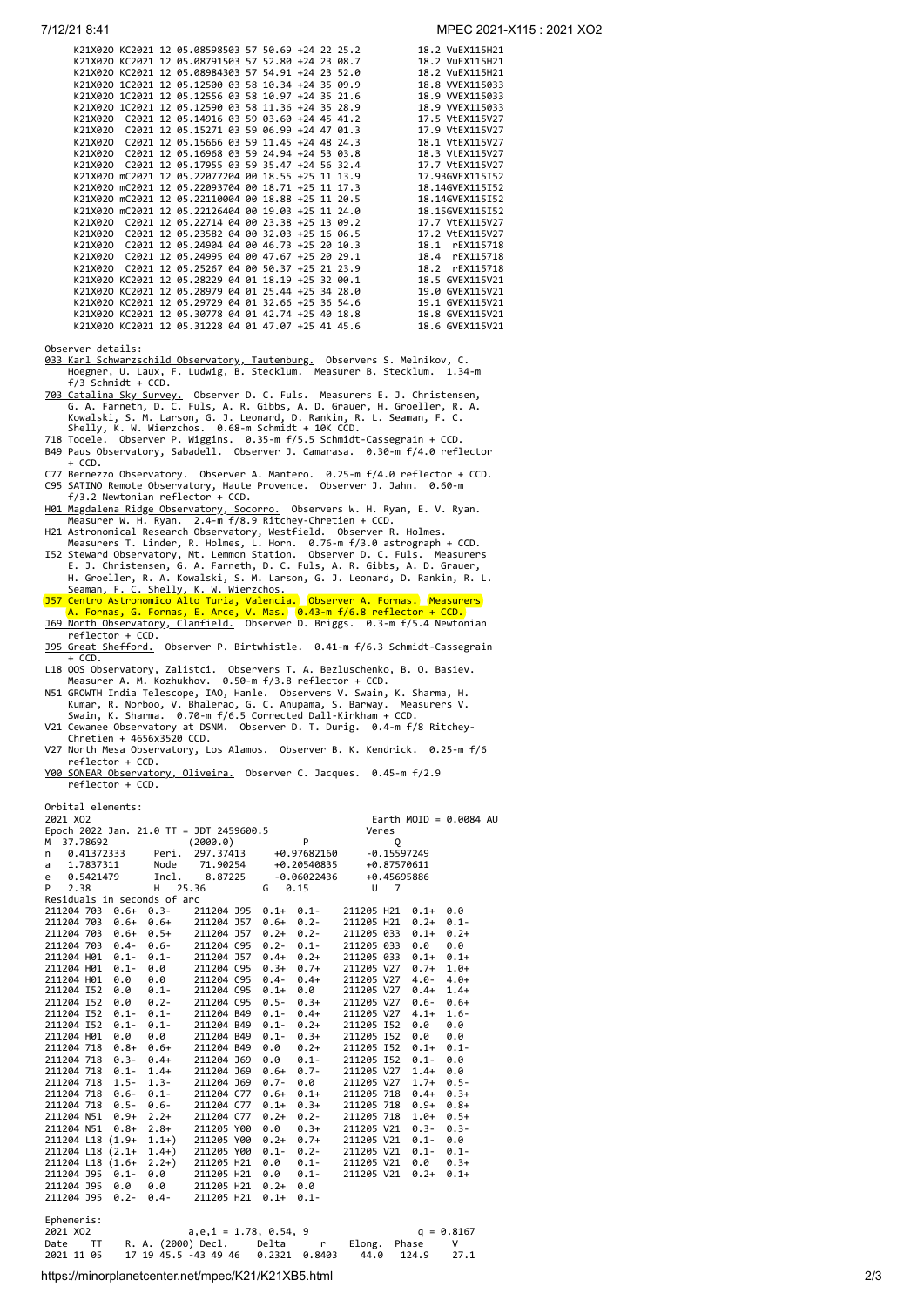|         |  | K21X020 KC2021 12 05.08598503 57 50.69 +24 22 25.2 |  |  |  | 18.2 VuEX115H21   |
|---------|--|----------------------------------------------------|--|--|--|-------------------|
|         |  | K21X020 KC2021 12 05.08791503 57 52.80 +24 23 08.7 |  |  |  | 18.2 VuEX115H21   |
|         |  | K21X020 KC2021 12 05.08984303 57 54.91 +24 23 52.0 |  |  |  | 18.2 VuEX115H21   |
|         |  | K21X020 1C2021 12 05.12500 03 58 10.34 +24 35 09.9 |  |  |  | 18.8 VVEX115033   |
|         |  | K21X020 1C2021 12 05.12556 03 58 10.97 +24 35 21.6 |  |  |  | 18.9 WEX115033    |
|         |  | K21X020 1C2021 12 05.12590 03 58 11.36 +24 35 28.9 |  |  |  | 18.9 WEX115033    |
| K21X020 |  | C2021 12 05.14916 03 59 03.60 +24 45 41.2          |  |  |  | 17.5 VtEX115V27   |
| K21X020 |  | C2021 12 05.15271 03 59 06.99 +24 47 01.3          |  |  |  | 17.9 VtEX115V27   |
| K21X020 |  | $C2021$ 12 05.15666 03 59 11.45 +24 48 24.3        |  |  |  | 18.1 V+FX115V27   |
|         |  | K21X020 C2021 12 05.16968 03 59 24.94 +24 53 03.8  |  |  |  | 18.3 VtEX115V27   |
| K21X020 |  | C2021 12 05.17955 03 59 35.47 +24 56 32.4          |  |  |  | 17.7 VtEX115V27   |
|         |  | K21X020 mC2021 12 05.22077204 00 18.55 +25 11 13.9 |  |  |  | 17.93GVEX115I52   |
|         |  | K21X020 mC2021 12 05.22093704 00 18.71 +25 11 17.3 |  |  |  | 18.14GVEX115I52   |
|         |  | K21X020 mC2021 12 05.22110004 00 18.88 +25 11 20.5 |  |  |  | 18.14GVEX115I52   |
|         |  | K21X020 mC2021 12 05.22126404 00 19.03 +25 11 24.0 |  |  |  | 18.15GVEX115I52   |
| K21X020 |  | C2021 12 05.22714 04 00 23.38 +25 13 09.2          |  |  |  | 17.7 VtEX115V27   |
| K21X020 |  | C2021 12 05.23582 04 00 32.03 +25 16 06.5          |  |  |  | 17.2 VtEX115V27   |
| K21X020 |  | $C2021$ 12 05.24904 04 00 46.73 +25 20 10.3        |  |  |  | 18.1<br>rEX115718 |
| K21X020 |  | C2021 12 05.24995 04 00 47.67 +25 20 29.1          |  |  |  | 18.4<br>rEX115718 |
| K21X020 |  | C2021 12 05.25267 04 00 50.37 +25 21 23.9          |  |  |  | rEX115718<br>18.2 |
|         |  | K21X020 KC2021 12 05.28229 04 01 18.19 +25 32 00.1 |  |  |  | 18.5 GVEX115V21   |
|         |  | K21X020 KC2021 12 05.28979 04 01 25.44 +25 34 28.0 |  |  |  | 19.0 GVEX115V21   |
|         |  | K21X020 KC2021 12 05.29729 04 01 32.66 +25 36 54.6 |  |  |  | 19.1 GVEX115V21   |
|         |  | K21X020 KC2021 12 05.30778 04 01 42.74 +25 40 18.8 |  |  |  | 18.8 GVEX115V21   |
|         |  | K21X020 KC2021 12 05.31228 04 01 47.07 +25 41 45.6 |  |  |  | 18.6 GVEX115V21   |
|         |  |                                                    |  |  |  |                   |

Observer details:

033 Karl Schwarzschild Observatory, Tautenburg, Observers S. Melnikov, C.<br>Hoegner, U. Laux, F. Ludwig, B. Stecklum. Measurer B. Stecklum. 1.34-m f/3 Schmidt + CCD.

- 703 Catalina Sky Survey, Observer D. C. Fuls. Measurers E. J. Christensen,<br>G. A. Farneth, D. C. Fuls, A. R. Gibbs, A. D. Grauer, H. Groeller, R. A.<br>Kowalski, S. M. Larson, G. J. Leonard, D. Rankin, R. L. Seaman, F. C.<br>Shel
- 
- [B49 Paus Observatory, Sabadell.](http://obspausb49.blogspot.com.es/) Observer J. Camarasa. 0.30-m f/4.0 reflector<br>+ CCD.
- + CCD. C77 Bernezzo Observatory. Observer A. Mantero. 0.25-m f/4.0 reflector + CCD. C95 SATINO Remote Observatory, Haute Provence. Observer J. Jahn. 0.60-m f/3.2 Newtonian reflector + CCD.
- Mol Magdalena Ridge Observatory, Socorro. Observers W. H. Ryan, E. V. Ryan.<br>Measurer W. H. Ryan. 2.4-m f/8.9 Ritchey-Chretien + CCD.<br>H21 Astronomical Research Observatory, Westfield. Observer R. Holmes.<br>Measurers T. Linder
- 
- 
- H. Groeller, R. A. Kowalski, S. M. Larson, G. J. Leonard, D. Rankin, R. L.<br>Seaman, F. C. Shelly, K. W. Wierzchos.<br><u>J57 Centro Astronomico Alto Turia, Valencia.</u> Observer A. Fornas. Measurers<br>A. Fornas, G. Fornas, E. Arce,
- reflector + CCD. [J95 Great Shefford.](http://www.birtwhistle.org.uk/) Observer P. Birtwhistle. 0.41-m f/6.3 Schmidt-Cassegrain
- 
- + CCD.<br>
118 QOS Observatory, Zalistci. Observers T. A. Bezluschenko, B. O. Basiev.<br>
Measurer A. M. Kozhukhov. 0.50-m f/3.8 reflector + CCD.<br>
NS1 GROWTH India Telescope, IAO, Hanle. Observers V. Swain, K. Sharma, H.<br>
Kumar,
- 
- V27 North Mesa Observatory, Los Alamos. Observer B. K. Kendrick. 0.25-m f/6 reflector + CCD.
- [Y00 SONEAR Observatory, Oliveira.](http://www.observatorio-phoenix.org/t_proj/Sonear/sonear.htm) Observer C. Jacques. 0.45-m f/2.9 reflector + CCD.

Orbital elements:

| 2021 X02      |                                         |         |            |         |               |                 |               |         | Earth MOID = $0.0084$ AU |
|---------------|-----------------------------------------|---------|------------|---------|---------------|-----------------|---------------|---------|--------------------------|
|               | Epoch 2022 Jan. 21.0 TT = JDT 2459600.5 |         |            |         |               |                 | Veres         |         |                          |
| 37.78692<br>м |                                         |         | (2000.0)   |         | P             |                 | Q             |         |                          |
| n             | 0.41372333                              | Peri.   | 297.37413  |         | +0.97682160   |                 | $-0.15597249$ |         |                          |
| a             | 1.7837311                               | Node    | 71.90254   |         | +0.20540835   |                 | +0.87570611   |         |                          |
| e             | 0.5421479                               | Incl.   | 8.87225    |         | $-0.06022436$ |                 | +0.45695886   |         |                          |
| 2.38<br>P     |                                         | н       | 25.36      | G       | 0.15          | U               | 7             |         |                          |
|               | Residuals in seconds of arc             |         |            |         |               |                 |               |         |                          |
|               | 211204 703 0.6+ 0.3-                    |         | 211204 J95 | $0.1+$  | $0.1 -$       | 211205 H21      |               | $0.1 +$ | 0.0                      |
|               | 211204 703 0.6+ 0.6+                    |         | 211204 J57 | $0.6+$  | $0.2 -$       | 211205 H21      |               | $0.2 +$ | $0.1 -$                  |
| 211204 703    | $0.6+0.5+$                              |         | 211204 J57 | $0.2 +$ | $0.2 -$       | 211205 033      |               | $0.1 +$ | $0.2 +$                  |
| 211204 703    | $0.4 -$                                 | $0.6 -$ | 211204 C95 | $0.2 -$ | $0.1 -$       | 211205 033      |               | 0.0     | 0.0                      |
| 211204 H01    | $0.1 -$                                 | $0.1 -$ | 211204 J57 | $0.4 +$ | $0.2+$        | 211205 033      |               | $0.1 +$ | $0.1+$                   |
| 211204 H01    | $0.1 -$                                 | 0.0     | 211204 C95 | $0.3+$  | $0.7+$        | 211205 V27      |               | $0.7 +$ | $1.0+$                   |
| 211204 H01    | 0.0                                     | 0.0     | 211204 C95 | $0.4 -$ | $0.4+$        | 211205 V27      |               | $4.0 -$ | $4.0+$                   |
| 211204 I52    | 0.0                                     | $0.1 -$ | 211204 C95 | $0.1 +$ | 0.0           | 211205 V27 0.4+ |               |         | $1.4+$                   |
|               | 211204 152 0.0                          | $0.2 -$ | 211204 C95 | $0.5 -$ | $0.3+$        | 211205 V27      |               | $0.6 -$ | $0.6+$                   |
| 211204 I52    | $0.1 -$                                 | $0.1 -$ | 211204 B49 | $0.1 -$ | $0.4+$        | 211205 V27      |               | $4.1+$  | $1.6 -$                  |
| 211204 I52    | $0.1 -$                                 | $0.1 -$ | 211204 B49 | $0.1 -$ | $0.2+$        | 211205 I52      |               | 0.0     | 0.0                      |
| 211204 H01    | 0.0                                     | 0.0     | 211204 B49 | $0.1 -$ | $0.3+$        | 211205 I52      |               | 0.0     | 0.0                      |
| 211204 718    | $0.8 +$                                 | $0.6+$  | 211204 B49 | 0.0     | $0.2+$        | 211205 I52      |               | $0.1 +$ | $0.1 -$                  |
|               | 211204 718 0.3- 0.4+                    |         | 211204 J69 | 0.0     | $0.1 -$       | 211205 I52      |               | $0.1 -$ | 0.0                      |
|               | 211204 718 0.1- 1.4+                    |         | 211204 J69 | $0.6+$  | $0.7 -$       | 211205 V27      |               | $1.4+$  | 0.0                      |
| 211204 718    | $1.5 -$                                 | $1.3 -$ | 211204 J69 | $0.7 -$ | 0.0           | 211205 V27      |               | $1.7+$  | $0.5 -$                  |
| 211204 718    | $0.6 -$                                 | $0.1 -$ | 211204 C77 | $0.6+$  | $0.1+$        | 211205 718      |               | $0.4+$  | $0.3+$                   |
|               | 211204 718 0.5-                         | $0.6 -$ | 211204 C77 | $0.1 +$ | $0.3+$        | 211205 718      |               | $0.9+$  | $0.8+$                   |
| 211204 N51    | $0.9+$                                  | $2.2+$  | 211204 C77 | $0.2 +$ | $0.2 -$       | 211205 718      |               | $1.0 +$ | $0.5+$                   |
| 211204 N51    | $0.8 +$                                 | $2.8+$  | 211205 Y00 | 0.0     | $0.3+$        | 211205 V21      |               | $0.3 -$ | $0.3 -$                  |
|               | 211204 L18 (1.9+                        | $1.1+)$ | 211205 Y00 | $0.2 +$ | $0.7+$        | 211205 V21      |               | $0.1 -$ | 0.0                      |
|               | 211204 L18 (2.1+                        | $1.4+$  | 211205 Y00 | $0.1 -$ | $0.2 -$       | 211205 V21      |               | $0.1 -$ | $0.1 -$                  |
|               | 211204 L18 (1.6+                        | $2.2+)$ | 211205 H21 | 0.0     | $0.1 -$       | 211205 V21      |               | 0.0     | $0.3+$                   |
| 211204 J95    | $0.1 -$                                 | 0.0     | 211205 H21 | 0.0     | $0.1 -$       | 211205 V21      |               | $0.2 +$ | $0.1+$                   |
| 211204 J95    | 0.0                                     | 0.0     | 211205 H21 | $0.2 +$ | 0.0           |                 |               |         |                          |
| 211204 J95    | $0.2 -$                                 | $0.4 -$ | 211205 H21 | $0.1 +$ | $0.1 -$       |                 |               |         |                          |
|               |                                         |         |            |         |               |                 |               |         |                          |

| Ephemeris:<br>2021 XO2 |                                        | $a,e,i = 1.78, 0.54, 9$ |              |            | $q = 0.8167$ |
|------------------------|----------------------------------------|-------------------------|--------------|------------|--------------|
|                        |                                        |                         |              |            |              |
| Date TT                | R. A. (2000) Decl.     Delta      r    |                         | Elong. Phase |            |              |
| 2021 11 05             | 17 19 45.5 -43 49 46   0.2321   0.8403 |                         |              | 44.0 124.9 | 27.1         |